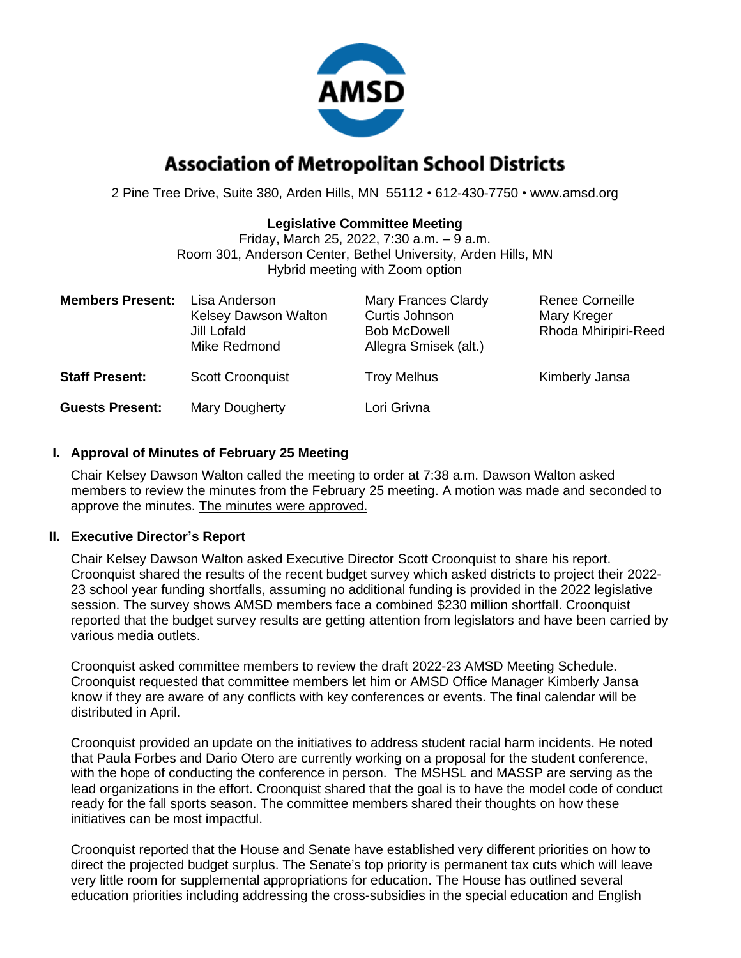

# **Association of Metropolitan School Districts**

2 Pine Tree Drive, Suite 380, Arden Hills, MN 55112 • 612-430-7750 • www.amsd.org

## **Legislative Committee Meeting**

Friday, March 25, 2022, 7:30 a.m. – 9 a.m. Room 301, Anderson Center, Bethel University, Arden Hills, MN Hybrid meeting with Zoom option

| <b>Members Present:</b> | Lisa Anderson<br><b>Kelsey Dawson Walton</b><br>Jill Lofald<br>Mike Redmond | <b>Mary Frances Clardy</b><br>Curtis Johnson<br><b>Bob McDowell</b><br>Allegra Smisek (alt.) | <b>Renee Corneille</b><br>Mary Kreger<br>Rhoda Mhiripiri-Reed |
|-------------------------|-----------------------------------------------------------------------------|----------------------------------------------------------------------------------------------|---------------------------------------------------------------|
| <b>Staff Present:</b>   | <b>Scott Croonquist</b>                                                     | <b>Troy Melhus</b>                                                                           | Kimberly Jansa                                                |
| <b>Guests Present:</b>  | Mary Dougherty                                                              | Lori Grivna                                                                                  |                                                               |

# **I. Approval of Minutes of February 25 Meeting**

Chair Kelsey Dawson Walton called the meeting to order at 7:38 a.m. Dawson Walton asked members to review the minutes from the February 25 meeting. A motion was made and seconded to approve the minutes. The minutes were approved.

## **II. Executive Director's Report**

Chair Kelsey Dawson Walton asked Executive Director Scott Croonquist to share his report. Croonquist shared the results of the recent budget survey which asked districts to project their 2022- 23 school year funding shortfalls, assuming no additional funding is provided in the 2022 legislative session. The survey shows AMSD members face a combined \$230 million shortfall. Croonquist reported that the budget survey results are getting attention from legislators and have been carried by various media outlets.

Croonquist asked committee members to review the draft 2022-23 AMSD Meeting Schedule. Croonquist requested that committee members let him or AMSD Office Manager Kimberly Jansa know if they are aware of any conflicts with key conferences or events. The final calendar will be distributed in April.

Croonquist provided an update on the initiatives to address student racial harm incidents. He noted that Paula Forbes and Dario Otero are currently working on a proposal for the student conference, with the hope of conducting the conference in person. The MSHSL and MASSP are serving as the lead organizations in the effort. Croonquist shared that the goal is to have the model code of conduct ready for the fall sports season. The committee members shared their thoughts on how these initiatives can be most impactful.

Croonquist reported that the House and Senate have established very different priorities on how to direct the projected budget surplus. The Senate's top priority is permanent tax cuts which will leave very little room for supplemental appropriations for education. The House has outlined several education priorities including addressing the cross-subsidies in the special education and English